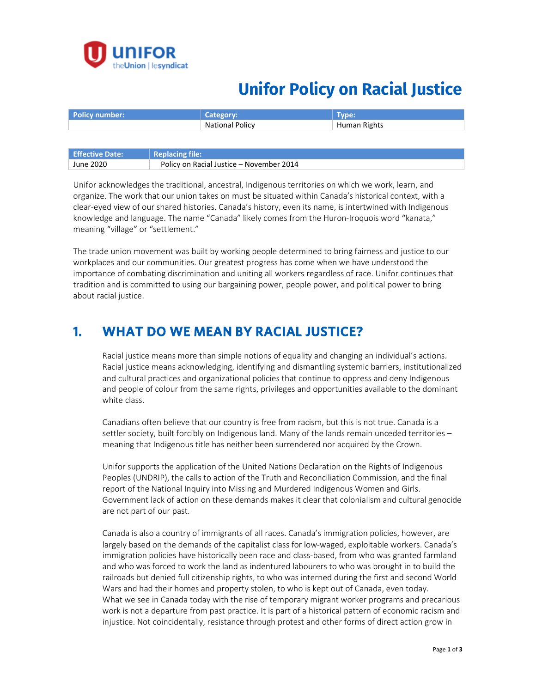

## **Unifor Policy on Racial Justice**

| <b>Policy number:</b>  | Category:              | Type:        |
|------------------------|------------------------|--------------|
|                        | <b>National Policy</b> | Human Rights |
|                        |                        |              |
|                        |                        |              |
| <b>Effective Date:</b> | <b>Replacing file:</b> |              |

Unifor acknowledges the traditional, ancestral, Indigenous territories on which we work, learn, and organize. The work that our union takes on must be situated within Canada's historical context, with a clear-eyed view of our shared histories. Canada's history, even its name, is intertwined with Indigenous knowledge and language. The name "Canada" likely comes from the Huron-Iroquois word "kanata," meaning "village" or "settlement."

The trade union movement was built by working people determined to bring fairness and justice to our workplaces and our communities. Our greatest progress has come when we have understood the importance of combating discrimination and uniting all workers regardless of race. Unifor continues that tradition and is committed to using our bargaining power, people power, and political power to bring about racial justice.

#### **1. WHAT DO WE MEAN BY RACIAL JUSTICE?**

June 2020 Policy on Racial Justice – November 2014

Racial justice means more than simple notions of equality and changing an individual's actions. Racial justice means acknowledging, identifying and dismantling systemic barriers, institutionalized and cultural practices and organizational policies that continue to oppress and deny Indigenous and people of colour from the same rights, privileges and opportunities available to the dominant white class.

Canadians often believe that our country is free from racism, but this is not true. Canada is a settler society, built forcibly on Indigenous land. Many of the lands remain unceded territories – meaning that Indigenous title has neither been surrendered nor acquired by the Crown.

Unifor supports the application of the United Nations Declaration on the Rights of Indigenous Peoples (UNDRIP), the calls to action of the Truth and Reconciliation Commission, and the final report of the National Inquiry into Missing and Murdered Indigenous Women and Girls. Government lack of action on these demands makes it clear that colonialism and cultural genocide are not part of our past.

Canada is also a country of immigrants of all races. Canada's immigration policies, however, are largely based on the demands of the capitalist class for low-waged, exploitable workers. Canada's immigration policies have historically been race and class-based, from who was granted farmland and who was forced to work the land as indentured labourers to who was brought in to build the railroads but denied full citizenship rights, to who was interned during the first and second World Wars and had their homes and property stolen, to who is kept out of Canada, even today. What we see in Canada today with the rise of temporary migrant worker programs and precarious work is not a departure from past practice. It is part of a historical pattern of economic racism and injustice. Not coincidentally, resistance through protest and other forms of direct action grow in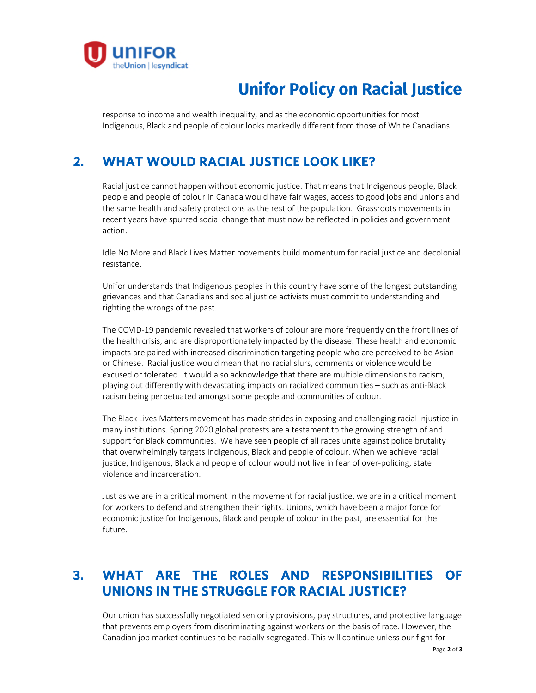

# **Unifor Policy on Racial Justice**

response to income and wealth inequality, and as the economic opportunities for most Indigenous, Black and people of colour looks markedly different from those of White Canadians.

### **2. WHAT WOULD RACIAL JUSTICE LOOK LIKE?**

Racial justice cannot happen without economic justice. That means that Indigenous people, Black people and people of colour in Canada would have fair wages, access to good jobs and unions and the same health and safety protections as the rest of the population. Grassroots movements in recent years have spurred social change that must now be reflected in policies and government action.

Idle No More and Black Lives Matter movements build momentum for racial justice and decolonial resistance.

Unifor understands that Indigenous peoples in this country have some of the longest outstanding grievances and that Canadians and social justice activists must commit to understanding and righting the wrongs of the past.

The COVID-19 pandemic revealed that workers of colour are more frequently on the front lines of the health crisis, and are disproportionately impacted by the disease. These health and economic impacts are paired with increased discrimination targeting people who are perceived to be Asian or Chinese. Racial justice would mean that no racial slurs, comments or violence would be excused or tolerated. It would also acknowledge that there are multiple dimensions to racism, playing out differently with devastating impacts on racialized communities – such as anti-Black racism being perpetuated amongst some people and communities of colour.

The Black Lives Matters movement has made strides in exposing and challenging racial injustice in many institutions. Spring 2020 global protests are a testament to the growing strength of and support for Black communities. We have seen people of all races unite against police brutality that overwhelmingly targets Indigenous, Black and people of colour. When we achieve racial justice, Indigenous, Black and people of colour would not live in fear of over-policing, state violence and incarceration.

Just as we are in a critical moment in the movement for racial justice, we are in a critical moment for workers to defend and strengthen their rights. Unions, which have been a major force for economic justice for Indigenous, Black and people of colour in the past, are essential for the future.

### **3. WHAT ARE THE ROLES AND RESPONSIBILITIES OF UNIONS IN THE STRUGGLE FOR RACIAL JUSTICE?**

Our union has successfully negotiated seniority provisions, pay structures, and protective language that prevents employers from discriminating against workers on the basis of race. However, the Canadian job market continues to be racially segregated. This will continue unless our fight for